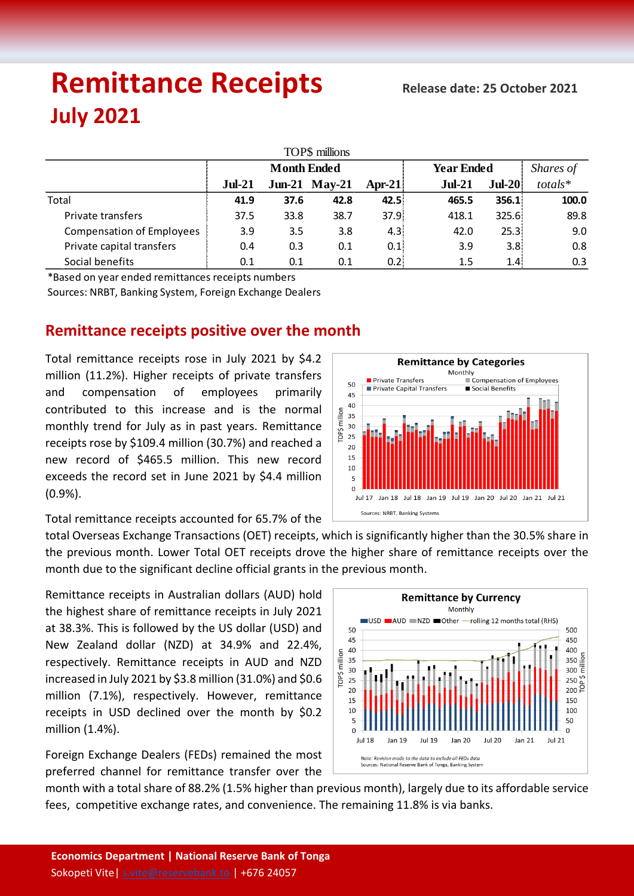# **Remittance Receipts Release date: <sup>25</sup> October <sup>2021</sup> July 2021**

| TOP\$ millions                   |                    |      |                 |        |                   |          |           |  |  |  |  |  |
|----------------------------------|--------------------|------|-----------------|--------|-------------------|----------|-----------|--|--|--|--|--|
|                                  | <b>Month Ended</b> |      |                 |        | <b>Year Ended</b> |          | Shares of |  |  |  |  |  |
|                                  | $Jul-21$           |      | $Jun-21$ May-21 | Apr-21 | $Jul-21$          | $Jul-20$ | totals*   |  |  |  |  |  |
| Total                            | 41.9               | 37.6 | 42.8            | 42.5%  | 465.5             | 356.1:   | 100.0     |  |  |  |  |  |
| Private transfers                | 37.5               | 33.8 | 38.7            | 37.9   | 418.1             | 325.6:   | 89.8      |  |  |  |  |  |
| <b>Compensation of Employees</b> | 3.9                | 3.5  | 3.8             | 4.3%   | 42.0              | 25.3:    | 9.0       |  |  |  |  |  |
| Private capital transfers        | 0.4                | 0.3  | 0.1             | 0.1    | 3.9               | 3.8.     | 0.8       |  |  |  |  |  |
| Social benefits                  | 0.1                | 0.1  | 0.1             | 0.2    | 1.5               | 1.4:     | 0.3       |  |  |  |  |  |

\*Based on year ended remittances receipts numbers

Sources: NRBT, Banking System, Foreign Exchange Dealers

### **Remittance receipts positive over the month**

Total remittance receipts rose in July 2021 by \$4.2 million (11.2%). Higher receipts of private transfers and compensation of employees primarily contributed to this increase and is the normal monthly trend for July as in past years. Remittance receipts rose by \$109.4 million (30.7%) and reached a new record of \$465.5 million. This new record exceeds the record set in June 2021 by \$4.4 million (0.9%).

Total remittance receipts accounted for 65.7% of the



total Overseas Exchange Transactions (OET) receipts, which is significantly higher than the 30.5% share in the previous month. Lower Total OET receipts drove the higher share of remittance receipts over the month due to the significant decline official grants in the previous month.

Remittance receipts in Australian dollars (AUD) hold the highest share of remittance receipts in July 2021 at 38.3%. This is followed by the US dollar (USD) and New Zealand dollar (NZD) at 34.9% and 22.4%, respectively. Remittance receipts in AUD and NZD increased in July 2021 by \$3.8 million (31.0%) and \$0.6 million (7.1%), respectively. However, remittance receipts in USD declined over the month by \$0.2 million (1.4%).

Foreign Exchange Dealers (FEDs) remained the most preferred channel for remittance transfer over the



month with a total share of 88.2% (1.5% higher than previous month), largely due to its affordable service fees, competitive exchange rates, and convenience. The remaining 11.8% is via banks.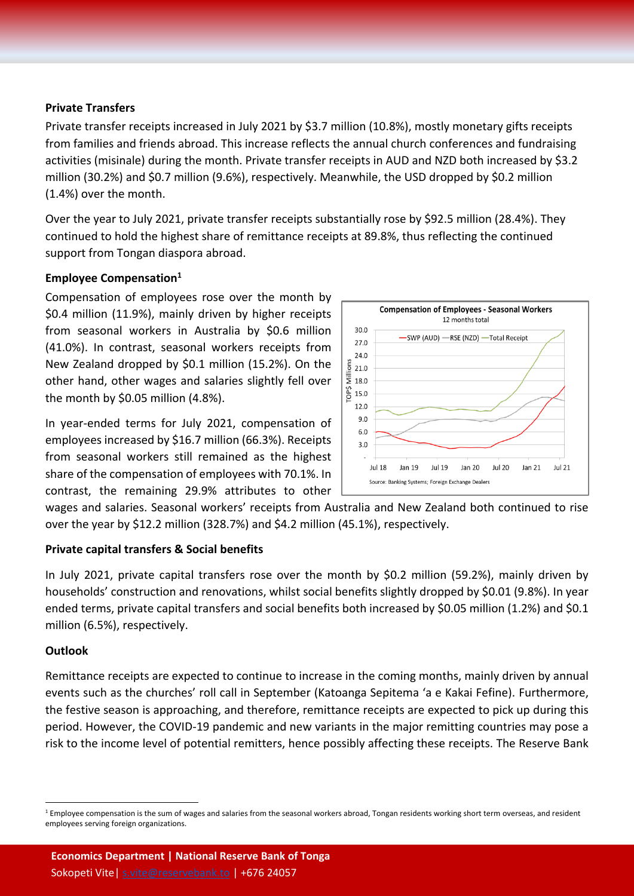#### **Private Transfers**

Private transfer receipts increased in July 2021 by \$3.7 million (10.8%), mostly monetary gifts receipts from families and friends abroad. This increase reflects the annual church conferences and fundraising activities (misinale) during the month. Private transfer receipts in AUD and NZD both increased by \$3.2 million (30.2%) and \$0.7 million (9.6%), respectively. Meanwhile, the USD dropped by \$0.2 million (1.4%) over the month.

Over the year to July 2021, private transfer receipts substantially rose by \$92.5 million (28.4%). They continued to hold the highest share of remittance receipts at 89.8%, thus reflecting the continued support from Tongan diaspora abroad.

#### **Employee Compensation<sup>1</sup>**

Compensation of employees rose over the month by \$0.4 million (11.9%), mainly driven by higher receipts from seasonal workers in Australia by \$0.6 million (41.0%). In contrast, seasonal workers receipts from New Zealand dropped by \$0.1 million (15.2%). On the other hand, other wages and salaries slightly fell over the month by \$0.05 million (4.8%).

In year-ended terms for July 2021, compensation of employees increased by \$16.7 million (66.3%). Receipts from seasonal workers still remained as the highest share of the compensation of employees with 70.1%. In contrast, the remaining 29.9% attributes to other



wages and salaries. Seasonal workers' receipts from Australia and New Zealand both continued to rise over the year by \$12.2 million (328.7%) and \$4.2 million (45.1%), respectively.

#### **Private capital transfers & Social benefits**

In July 2021, private capital transfers rose over the month by \$0.2 million (59.2%), mainly driven by households' construction and renovations, whilst social benefits slightly dropped by \$0.01 (9.8%). In year ended terms, private capital transfers and social benefits both increased by \$0.05 million (1.2%) and \$0.1 million (6.5%), respectively.

#### **Outlook**

l

Remittance receipts are expected to continue to increase in the coming months, mainly driven by annual events such as the churches' roll call in September (Katoanga Sepitema 'a e Kakai Fefine). Furthermore, the festive season is approaching, and therefore, remittance receipts are expected to pick up during this period. However, the COVID-19 pandemic and new variants in the major remitting countries may pose a risk to the income level of potential remitters, hence possibly affecting these receipts. The Reserve Bank

<sup>&</sup>lt;sup>1</sup> Employee compensation is the sum of wages and salaries from the seasonal workers abroad, Tongan residents working short term overseas, and resident employees serving foreign organizations.